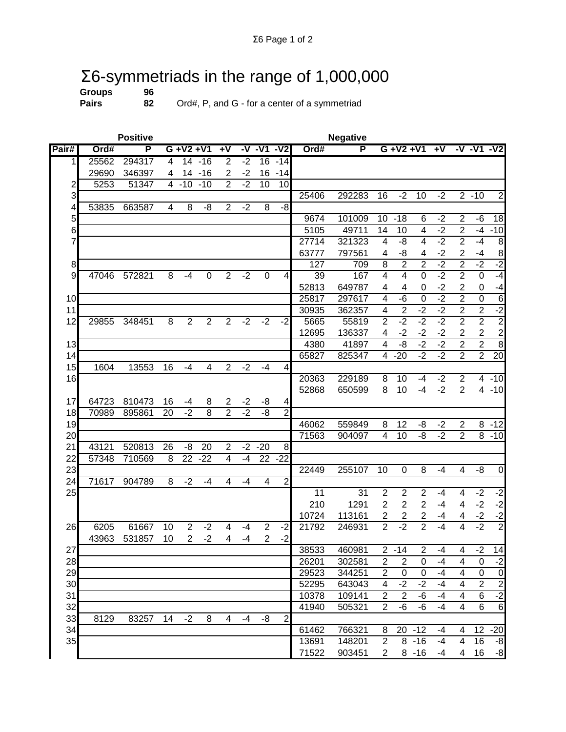## $\Sigma$ 6-symmetriads in the range of 1,000,000<br>Groups 96<br>Pairs 82 Ord#, P, and G - for a center of a symmetriad

**Groups**<br>Pairs

**Pairs 82** Ord#, P, and G - for a center of a symmetriad

|                | <b>Positive</b> |        |    |                 |                |                | <b>Negative</b> |                 |                          |                |                  |                                  |                                 |                                    |            |                |                |                        |
|----------------|-----------------|--------|----|-----------------|----------------|----------------|-----------------|-----------------|--------------------------|----------------|------------------|----------------------------------|---------------------------------|------------------------------------|------------|----------------|----------------|------------------------|
| Pair#          | Ord#            | P      |    | $G + V2 + V1$   |                | $+V$           |                 | $-V - V1$       | $-V2$                    | Ord#           | P                |                                  | $G + V2 + V1$                   |                                    | $+V$       |                | $-V - V1 - V2$ |                        |
| 11             | 25562           | 294317 | 4  | 14              | -16            | $\overline{2}$ | $-2$            | 16              | $-14$                    |                |                  |                                  |                                 |                                    |            |                |                |                        |
|                | 29690           | 346397 | 4  |                 | $14 - 16$      | $\overline{2}$ | $-2$            | 16              | $-14$                    |                |                  |                                  |                                 |                                    |            |                |                |                        |
| 2              | 5253            | 51347  | 4  | $-10$           | $-10$          | 2              | $-2$            | 10              | 10                       |                |                  |                                  |                                 |                                    |            |                |                |                        |
| 3              |                 |        |    |                 |                |                |                 |                 |                          | 25406          | 292283           | 16                               | $-2$                            | 10                                 | $-2$       |                | $2 - 10$       | $\overline{2}$         |
| 4              | 53835           | 663587 | 4  | 8               | -8             | $\overline{2}$ | $-2$            | 8               | $-8$                     |                |                  |                                  |                                 |                                    |            |                |                |                        |
| 5              |                 |        |    |                 |                |                |                 |                 |                          | 9674           | 101009           | 10                               | $-18$                           | 6                                  | $-2$       | 2              | -6             | 18                     |
| 6              |                 |        |    |                 |                |                |                 |                 |                          | 5105           | 49711            | 14                               | 10                              | 4                                  | $-2$       | $\mathbf 2$    | $-4$           | $-10$                  |
| 7              |                 |        |    |                 |                |                |                 |                 |                          | 27714          | 321323           | $\overline{4}$                   | -8                              | 4                                  | $-2$       | $\overline{2}$ | $-4$           | 8                      |
|                |                 |        |    |                 |                |                |                 |                 |                          | 63777          | 797561           | 4                                | -8                              | 4                                  | $-2$       | 2              | $-4$           | 8                      |
| 8              |                 |        |    |                 |                |                |                 |                 |                          | 127            | 709              | $\overline{8}$                   | $\overline{2}$                  | $\overline{2}$                     | $-2$       | $\overline{2}$ | $-2$           | $-2$                   |
| $\overline{9}$ | 47046           | 572821 | 8  | $-4$            | $\pmb{0}$      | $\overline{2}$ | $-2$            | 0               | 4                        | 39             | 167              | $\overline{4}$                   | 4                               | 0                                  | $-2$       | $\overline{2}$ | $\mathbf 0$    | $-4$                   |
|                |                 |        |    |                 |                |                |                 |                 |                          | 52813          | 649787           | 4                                | 4                               | 0                                  | $-2$       | 2              | $\pmb{0}$      | $-4$                   |
| 10             |                 |        |    |                 |                |                |                 |                 |                          | 25817          | 297617           | $\overline{4}$                   | $-6$                            | $\Omega$                           | $-2$       | $\overline{2}$ | $\overline{0}$ | $\overline{6}$         |
| 11             |                 |        |    |                 |                |                |                 |                 |                          | 30935          | 362357           | 4                                | $\overline{2}$                  | $-2$                               | $-2$       | $\overline{2}$ | $\overline{2}$ | $-2$                   |
| 12             | 29855           | 348451 | 8  | $\overline{2}$  | $\overline{c}$ | $\overline{2}$ | $-2$            | $-2$            | $-2$                     | 5665           | 55819            | $\overline{2}$                   | $-2$                            | $-2$                               | $-2$       | $\overline{2}$ | $\overline{2}$ | $\overline{2}$         |
|                |                 |        |    |                 |                |                |                 |                 |                          | 12695          | 136337           | 4                                | $-2$                            | $-2$                               | $-2$       | 2              | $\overline{c}$ | $\frac{2}{8}$          |
| 13             |                 |        |    |                 |                |                |                 |                 |                          | 4380           | 41897            | $\overline{4}$                   | -8                              | $-2$                               | $-2$       | $\overline{2}$ | $\overline{2}$ |                        |
| 14             |                 |        |    |                 |                |                |                 |                 |                          | 65827          | 825347           | 4                                | $-20$                           | $-2$                               | $-2$       | $\overline{2}$ | $\overline{2}$ | $\overline{20}$        |
| 15             | 1604            | 13553  | 16 | $-4$            | 4              | $\overline{2}$ | $-2$            | $-4$            | $\overline{\mathcal{A}}$ |                |                  |                                  |                                 |                                    |            |                |                |                        |
| 16             |                 |        |    |                 |                |                |                 |                 |                          | 20363          | 229189           | 8                                | 10                              | $-4$                               | $-2$       | $\overline{c}$ |                | $4 - 10$               |
|                |                 |        |    |                 |                |                |                 |                 |                          | 52868          | 650599           | 8                                | 10                              | -4                                 | $-2$       | $\overline{2}$ |                | $4 - 10$               |
| 17             | 64723           | 810473 | 16 | $-4$            | 8              | $\overline{2}$ | $-2$            | -8              | $\overline{\mathbf{4}}$  |                |                  |                                  |                                 |                                    |            |                |                |                        |
| 18             | 70989           | 895861 | 20 | $-2$            | 8              | $\overline{2}$ | $-2$            | -8              | $\overline{2}$           |                |                  |                                  |                                 |                                    |            |                |                |                        |
| 19             |                 |        |    |                 |                |                |                 |                 |                          | 46062          | 559849           | 8                                | 12                              | -8                                 | $-2$       | 2              | 8              | $-12$                  |
| 20             |                 |        |    |                 |                |                |                 |                 |                          | 71563          | 904097           | $\overline{4}$                   | 10                              | $-8$                               | $-2$       | $\overline{2}$ | 8              | $-10$                  |
| 21             | 43121           | 520813 | 26 | -8              | 20             | $\overline{2}$ | $-2$            | $-20$           | 8                        |                |                  |                                  |                                 |                                    |            |                |                |                        |
| 22             | 57348           | 710569 | 8  | $\overline{22}$ | $-22$          | 4              | $-4$            | $\overline{22}$ | $-22$                    |                |                  |                                  |                                 |                                    |            |                |                |                        |
| 23             |                 |        |    | $-2$            | $-4$           | 4              | $-4$            | $\overline{4}$  |                          | 22449          | 255107           | 10                               | 0                               | 8                                  | $-4$       | 4              | -8             | $\mathbf 0$            |
| 24             | 71617           | 904789 | 8  |                 |                |                |                 |                 | $\overline{2}$           | 11             | 31               | $\overline{2}$                   |                                 | $\overline{2}$                     | $-4$       |                | $-2$           | $-2$                   |
| 25             |                 |        |    |                 |                |                |                 |                 |                          | 210            |                  | $\overline{2}$                   | $\mathbf 2$<br>$\mathbf 2$      | $\overline{2}$                     |            | 4              | $-2$           |                        |
|                |                 |        |    |                 |                |                |                 |                 |                          |                | 1291             |                                  |                                 |                                    | $-4$       | 4              |                | $-2$                   |
| 26             | 6205            | 61667  | 10 | $\overline{2}$  | $-2$           | 4              | $-4$            | $\overline{2}$  | $-2$                     | 10724<br>21792 | 113161<br>246931 | $\overline{c}$<br>$\overline{2}$ | $\overline{\mathbf{c}}$<br>$-2$ | $\boldsymbol{2}$<br>$\overline{2}$ | -4<br>$-4$ | 4<br>4         | $-2$<br>$-2$   | $-2$<br>$\overline{2}$ |
|                | 43963           | 531857 | 10 | $\overline{2}$  | $-2$           | 4              | $-4$            | $\overline{2}$  | $-2$                     |                |                  |                                  |                                 |                                    |            |                |                |                        |
|                |                 |        |    |                 |                |                |                 |                 |                          |                |                  |                                  |                                 | 2                                  | -4         | 4              |                |                        |
| 27<br>28       |                 |        |    |                 |                |                |                 |                 |                          | 38533<br>26201 | 460981<br>302581 | $\overline{2}$                   | $2 - 14$<br>$\overline{c}$      | 0                                  | -4         | 4              | $-2$<br>0      | 14<br>$-2$             |
| 29             |                 |        |    |                 |                |                |                 |                 |                          | 29523          | 344251           | $\overline{2}$                   | $\pmb{0}$                       | $\pmb{0}$                          | $-4$       | 4              | $\mathbf 0$    | $\overline{0}$         |
| 30             |                 |        |    |                 |                |                |                 |                 |                          | 52295          | 643043           | 4                                | $-2$                            | $-2$                               | $-4$       | 4              | $\overline{2}$ | $\overline{2}$         |
| 31             |                 |        |    |                 |                |                |                 |                 |                          | 10378          | 109141           | $\overline{2}$                   | $\overline{2}$                  | -6                                 | $-4$       | 4              | 6              | $-2$                   |
| 32             |                 |        |    |                 |                |                |                 |                 |                          | 41940          | 505321           | $\overline{2}$                   | -6                              | -6                                 | -4         | 4              | 6              | $\sigma$               |
| 33             | 8129            | 83257  | 14 | $-2$            | 8              | 4              | -4              | -8              | $\overline{c}$           |                |                  |                                  |                                 |                                    |            |                |                |                        |
| 34             |                 |        |    |                 |                |                |                 |                 |                          | 61462          | 766321           | 8                                |                                 | $20 - 12$                          | $-4$       | 4              | 12             | $-20$                  |
| 35             |                 |        |    |                 |                |                |                 |                 |                          | 13691          | 148201           | $\overline{2}$                   |                                 | $8 - 16$                           | $-4$       | 4              | 16             | -8                     |
|                |                 |        |    |                 |                |                |                 |                 |                          | 71522          | 903451           | 2                                |                                 | $8 - 16$                           | -4         | 4              | 16             | $-8$                   |
|                |                 |        |    |                 |                |                |                 |                 |                          |                |                  |                                  |                                 |                                    |            |                |                |                        |